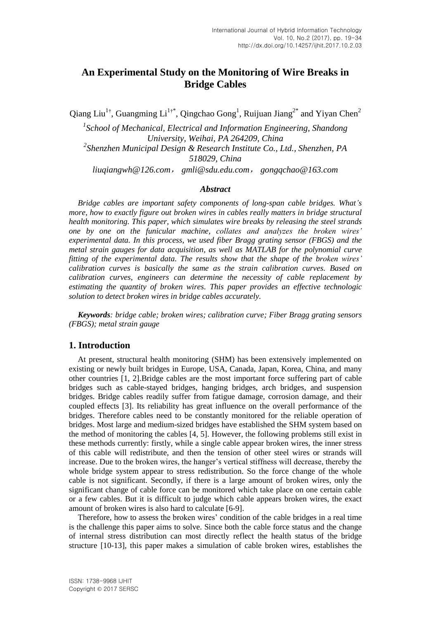# **An Experimental Study on the Monitoring of Wire Breaks in Bridge Cables**

Qiang Liu<sup>1†</sup>, Guangming Li<sup>1†\*</sup>, Qingchao Gong<sup>1</sup>, Ruijuan Jiang<sup>2\*</sup> and Yiyan Chen<sup>2</sup>

<sup>1</sup> School of Mechanical, Electrical and Information Engineering, Shandong *University, Weihai, PA 264209, China 2 Shenzhen Municipal Design & Research Institute Co., Ltd., Shenzhen, PA 518029, China [liuqiangwh@126.com](mailto:1033665608@qq.com)*, *gmli@sdu.edu.com*, *gongqchao@163.com*

#### *Abstract*

*Bridge cables are important safety components of long-span cable bridges. What's more, how to exactly figure out broken wires in cables really matters in bridge structural health monitoring. This paper, which simulates wire breaks by releasing the steel strands one by one on the funicular machine, collates and analyzes the broken wires' experimental data. In this process, we used fiber Bragg grating sensor (FBGS) and the metal strain gauges for data acquisition, as well as MATLAB for the polynomial curve fitting of the experimental data. The results show that the shape of the broken wires' calibration curves is basically the same as the strain calibration curves. Based on calibration curves, engineers can determine the necessity of cable replacement by estimating the quantity of broken wires. This paper provides an effective technologic solution to detect broken wires in bridge cables accurately.*

*Keywords: bridge cable; broken wires; calibration curve; Fiber Bragg grating sensors (FBGS); metal strain gauge*

#### **1. Introduction**

At present, structural health monitoring (SHM) has been extensively implemented on existing or newly built bridges in Europe, USA, Canada, Japan, Korea, China, and many other countries [1, 2].Bridge cables are the most important force suffering part of cable bridges such as cable-stayed bridges, hanging bridges, arch bridges, and suspension bridges. Bridge cables readily suffer from fatigue damage, corrosion damage, and their coupled effects [3]. Its reliability has great influence on the overall performance of the bridges. Therefore cables need to be constantly monitored for the reliable operation of bridges. Most large and medium-sized bridges have established the SHM system based on the method of monitoring the cables [4, 5]. However, the following problems still exist in these methods currently: firstly, while a single cable appear broken wires, the inner stress of this cable will redistribute, and then the tension of other steel wires or strands will increase. Due to the broken wires, the hanger's vertical stiffness will decrease, thereby the whole bridge system appear to stress redistribution. So the force change of the whole cable is not significant. Secondly, if there is a large amount of broken wires, only the significant change of cable force can be monitored which take place on one certain cable or a few cables. But it is difficult to judge which cable appears broken wires, the exact amount of broken wires is also hard to calculate [6-9].

Therefore, how to assess the broken wires' condition of the cable bridges in a real time is the challenge this paper aims to solve. Since both the cable force status and the change of internal stress distribution can most directly reflect the health status of the bridge structure [10-13], this paper makes a simulation of cable broken wires, establishes the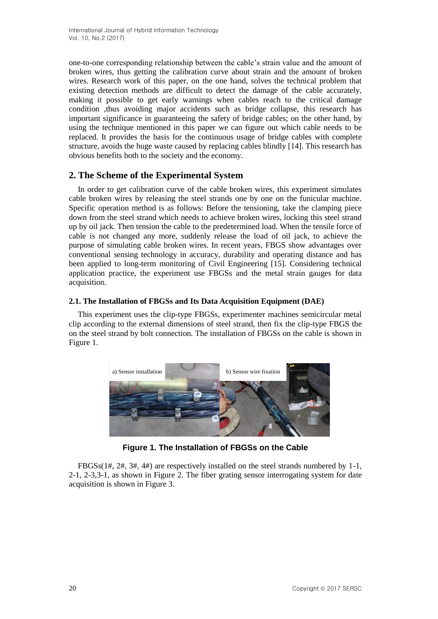one-to-one corresponding relationship between the cable's strain value and the amount of broken wires, thus getting the calibration curve about strain and the amount of broken wires. Research work of this paper, on the one hand, solves the technical problem that existing detection methods are difficult to detect the damage of the cable accurately, making it possible to get early warnings when cables reach to the critical damage condition ,thus avoiding major accidents such as bridge collapse, this research has important significance in guaranteeing the safety of bridge cables; on the other hand, by using the technique mentioned in this paper we can figure out which cable needs to be replaced. It provides the basis for the continuous usage of bridge cables with complete structure, avoids the huge waste caused by replacing cables blindly [14]. This research has obvious benefits both to the society and the economy.

# **2. The Scheme of the Experimental System**

In order to get calibration curve of the cable broken wires, this experiment simulates cable broken wires by releasing the steel strands one by one on the funicular machine. Specific operation method is as follows: Before the tensioning, take the clamping piece down from the steel strand which needs to achieve broken wires, locking this steel strand up by oil jack. Then tension the cable to the predetermined load. When the tensile force of cable is not changed any more, suddenly release the load of oil jack, to achieve the purpose of simulating cable broken wires. In recent years, FBGS show advantages over conventional sensing technology in accuracy, durability and operating distance and has been applied to long-term monitoring of Civil Engineering [15]. Considering technical application practice, the experiment use FBGSs and the metal strain gauges for data acquisition.

#### **2.1. The Installation of FBGSs and Its Data Acquisition Equipment (DAE)**

This experiment uses the clip-type FBGSs, experimenter machines semicircular metal clip according to the external dimensions of steel strand, then fix the clip-type FBGS the on the steel strand by bolt connection. The installation of FBGSs on the cable is shown in Figure 1.



**Figure 1. The Installation of FBGSs on the Cable**

FBGSs(1#, 2#, 3#, 4#) are respectively installed on the steel strands numbered by 1-1, 2-1, 2-3,3-1, as shown in Figure 2. The fiber grating sensor interrogating system for date acquisition is shown in Figure 3.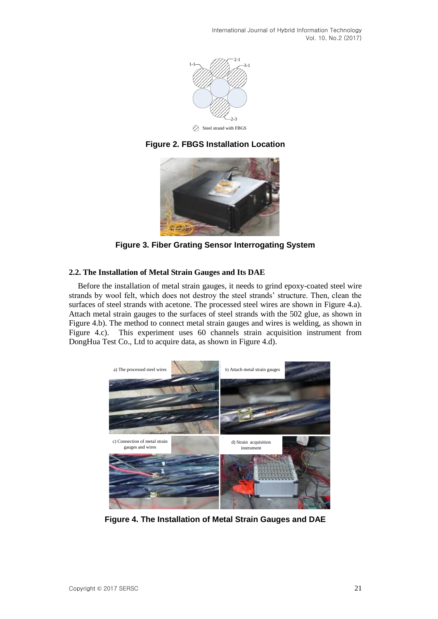International Journal of Hybrid Information Technology Vol. 10, No.2 (2017)







**Figure 3. Fiber Grating Sensor Interrogating System**

#### **2.2. The Installation of Metal Strain Gauges and Its DAE**

Before the installation of metal strain gauges, it needs to grind epoxy-coated steel wire strands by wool felt, which does not destroy the steel strands' structure. Then, clean the surfaces of steel strands with acetone. The processed steel wires are shown in Figure 4.a). Attach metal strain gauges to the surfaces of steel strands with the 502 glue, as shown in Figure 4.b). The method to connect metal strain gauges and wires is welding, as shown in Figure 4.c). This experiment uses 60 channels strain acquisition instrument from DongHua Test Co., Ltd to acquire data, as shown in Figure 4.d).



**Figure 4. The Installation of Metal Strain Gauges and DAE**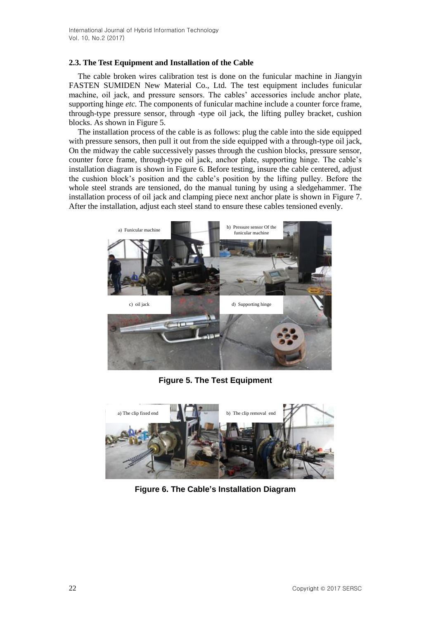#### **2.3. The Test Equipment and Installation of the Cable**

The cable broken wires calibration test is done on the funicular machine in Jiangyin FASTEN SUMIDEN New Material Co., Ltd. The test equipment includes funicular machine, oil jack, and pressure sensors. The cables' accessories include anchor plate, supporting hinge *etc.* The components of funicular machine include a counter force frame, through-type pressure sensor, through -type oil jack, the lifting pulley bracket, cushion blocks. As shown in Figure 5.

The installation process of the cable is as follows: plug the cable into the side equipped with pressure sensors, then pull it out from the side equipped with a through-type oil jack, On the midway the cable successively passes through the cushion blocks, pressure sensor, counter force frame, through-type oil jack, anchor plate, supporting hinge. The cable's installation diagram is shown in Figure 6. Before testing, insure the cable centered, adjust the cushion block's position and the cable's position by the lifting pulley. Before the whole steel strands are tensioned, do the manual tuning by using a sledgehammer. The installation process of oil jack and clamping piece next anchor plate is shown in Figure 7. After the installation, adjust each steel stand to ensure these cables tensioned evenly.



**Figure 5. The Test Equipment**



**Figure 6. The Cable's Installation Diagram**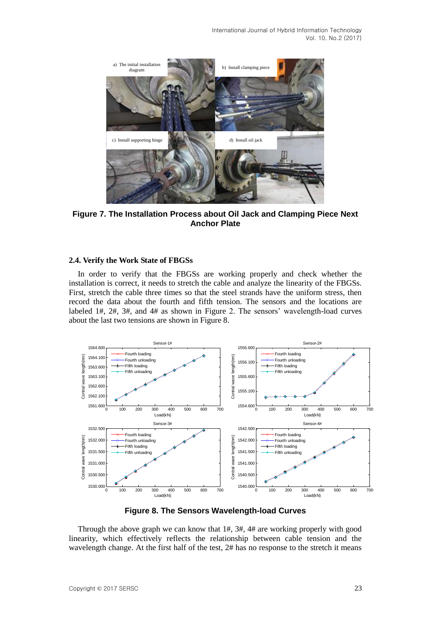International Journal of Hybrid Information Technology Vol. 10, No.2 (2017)



**Figure 7. The Installation Process about Oil Jack and Clamping Piece Next Anchor Plate**

#### **2.4. Verify the Work State of FBGSs**

In order to verify that the FBGSs are working properly and check whether the installation is correct, it needs to stretch the cable and analyze the linearity of the FBGSs. First, stretch the cable three times so that the steel strands have the uniform stress, then record the data about the fourth and fifth tension. The sensors and the locations are labeled 1#, 2#, 3#, and 4# as shown in Figure 2. The sensors' wavelength-load curves about the last two tensions are shown in Figure 8.



**Figure 8. The Sensors Wavelength-load Curves**

Through the above graph we can know that 1#, 3#, 4# are working properly with good linearity, which effectively reflects the relationship between cable tension and the wavelength change. At the first half of the test, 2# has no response to the stretch it means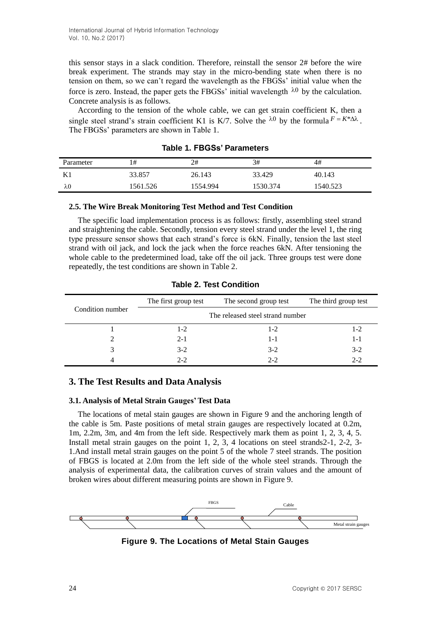this sensor stays in a slack condition. Therefore, reinstall the sensor 2# before the wire break experiment. The strands may stay in the micro-bending state when there is no tension on them, so we can't regard the wavelength as the FBGSs' initial value when the force is zero. Instead, the paper gets the FBGSs' initial wavelength  $\lambda_0$  by the calculation. Concrete analysis is as follows.

According to the tension of the whole cable, we can get strain coefficient K, then a single steel strand's strain coefficient K1 is K/7. Solve the  $\lambda^0$  by the formula  $F = K^* \Delta \lambda$ . The FBGSs' parameters are shown in Table 1.

| Parameter | #        | 2#       | 3#       | 4#       |
|-----------|----------|----------|----------|----------|
|           | 33.857   | 26.143   | 33.429   | 40.143   |
| λ0        | 1561.526 | 1554.994 | 1530.374 | 1540.523 |

**Table 1. FBGSs' Parameters**

#### **2.5. The Wire Break Monitoring Test Method and Test Condition**

The specific load implementation process is as follows: firstly, assembling steel strand and straightening the cable. Secondly, tension every steel strand under the level 1, the ring type pressure sensor shows that each strand's force is 6kN. Finally, tension the last steel strand with oil jack, and lock the jack when the force reaches 6kN. After tensioning the whole cable to the predetermined load, take off the oil jack. Three groups test were done repeatedly, the test conditions are shown in Table 2.

|                  | The first group test             | The second group test | The third group test |  |  |
|------------------|----------------------------------|-----------------------|----------------------|--|--|
| Condition number | The released steel strand number |                       |                      |  |  |
|                  | $1-2$                            | $1-2$                 | $1-2$                |  |  |
|                  | $2-1$                            | $1 - 1$               | $1 - 1$              |  |  |
|                  | $3-2$                            | $3-2$                 | $3-2$                |  |  |
|                  | $2 - 2$                          | $2 - 2$               | $2 - 2$              |  |  |

**Table 2. Test Condition**

## **3. The Test Results and Data Analysis**

#### **3.1. Analysis of Metal Strain Gauges' Test Data**

The locations of metal stain gauges are shown in Figure 9 and the anchoring length of the cable is 5m. Paste positions of metal strain gauges are respectively located at 0.2m, 1m, 2.2m, 3m, and 4m from the left side. Respectively mark them as point 1, 2, 3, 4, 5. Install metal strain gauges on the point 1, 2, 3, 4 locations on steel strands2-1, 2-2, 3- 1.And install metal strain gauges on the point 5 of the whole 7 steel strands. The position of FBGS is located at 2.0m from the left side of the whole steel strands. Through the analysis of experimental data, the calibration curves of strain values and the amount of broken wires about different measuring points are shown in Figure 9.



**Figure 9. The Locations of Metal Stain Gauges**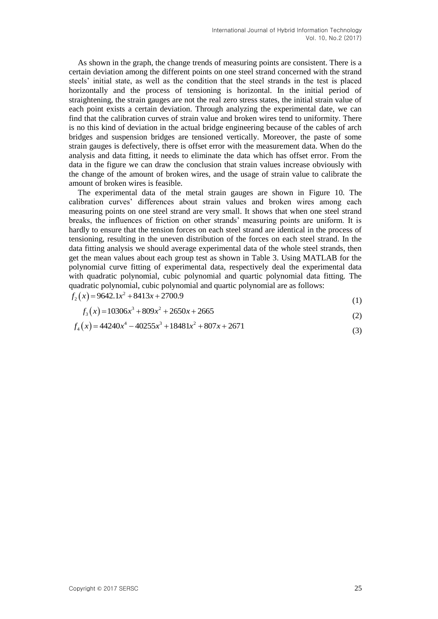As shown in the graph, the change trends of measuring points are consistent. There is a certain deviation among the different points on one steel strand concerned with the strand steels' initial state, as well as the condition that the steel strands in the test is placed horizontally and the process of tensioning is horizontal. In the initial period of straightening, the strain gauges are not the real zero stress states, the initial strain value of each point exists a certain deviation. Through analyzing the experimental date, we can find that the calibration curves of strain value and broken wires tend to uniformity. There is no this kind of deviation in the actual bridge engineering because of the cables of arch bridges and suspension bridges are tensioned vertically. Moreover, the paste of some strain gauges is defectively, there is offset error with the measurement data. When do the analysis and data fitting, it needs to eliminate the data which has offset error. From the data in the figure we can draw the conclusion that strain values increase obviously with the change of the amount of broken wires, and the usage of strain value to calibrate the amount of broken wires is feasible.

The experimental data of the metal strain gauges are shown in Figure 10. The calibration curves' differences about strain values and broken wires among each measuring points on one steel strand are very small. It shows that when one steel strand breaks, the influences of friction on other strands' measuring points are uniform. It is hardly to ensure that the tension forces on each steel strand are identical in the process of tensioning, resulting in the uneven distribution of the forces on each steel strand. In the data fitting analysis we should average experimental data of the whole steel strands, then get the mean values about each group test as shown in Table 3. Using MATLAB for the polynomial curve fitting of experimental data, respectively deal the experimental data with quadratic polynomial, cubic polynomial and quartic polynomial data fitting. The quadratic polynomial, cubic polynomial and quartic polynomial are as follows: puadratic polynomial, cubic polyno<br> $f_2(x) = 9642.1x^2 + 8413x + 2700.9$ 

$$
f_2(x) = 9642.1x^2 + 8413x + 2700.9
$$
\n(1)

$$
(1)
$$
  

$$
f_3(x) = 10306x^3 + 809x^2 + 2650x + 2665
$$
  
(2)

$$
f_3(x) = 10306x^3 + 809x^2 + 2650x + 2665
$$
  
\n
$$
f_4(x) = 44240x^4 - 40255x^3 + 18481x^2 + 807x + 2671
$$
\n(3)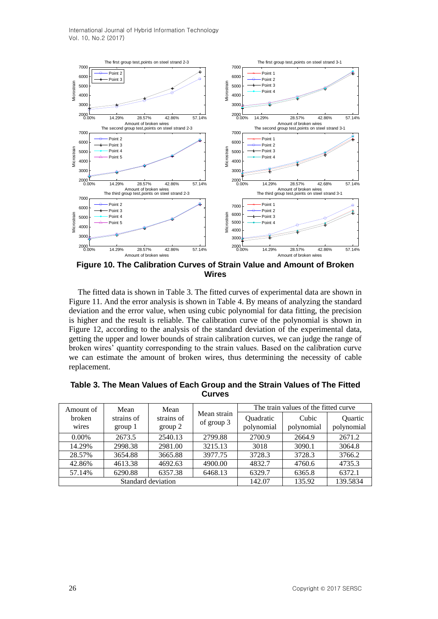

**Figure 10. The Calibration Curves of Strain Value and Amount of Broken Wires**

The fitted data is shown in Table 3. The fitted curves of experimental data are shown in Figure 11. And the error analysis is shown in Table 4. By means of analyzing the standard deviation and the error value, when using cubic polynomial for data fitting, the precision is higher and the result is reliable. The calibration curve of the polynomial is shown in Figure 12, according to the analysis of the standard deviation of the experimental data, getting the upper and lower bounds of strain calibration curves, we can judge the range of broken wires' quantity corresponding to the strain values. Based on the calibration curve we can estimate the amount of broken wires, thus determining the necessity of cable replacement.

| Amount of       | Mean                  | Mean                  |                           |                                | The train values of the fitted curve |                              |
|-----------------|-----------------------|-----------------------|---------------------------|--------------------------------|--------------------------------------|------------------------------|
| broken<br>wires | strains of<br>group 1 | strains of<br>group 2 | Mean strain<br>of group 3 | <b>Ouadratic</b><br>polynomial | Cubic<br>polynomial                  | <b>Ouartic</b><br>polynomial |
| $0.00\%$        | 2673.5                | 2540.13               | 2799.88                   | 2700.9                         | 2664.9                               | 2671.2                       |
| 14.29%          | 2998.38               | 2981.00               | 3215.13                   | 3018                           | 3090.1                               | 3064.8                       |
| 28.57%          | 3654.88               | 3665.88               | 3977.75                   | 3728.3                         | 3728.3                               | 3766.2                       |
| 42.86%          | 4613.38               | 4692.63               | 4900.00                   | 4832.7                         | 4760.6                               | 4735.3                       |
| 57.14%          | 6290.88               | 6357.38               | 6468.13                   | 6329.7                         | 6365.8                               | 6372.1                       |
|                 |                       | Standard deviation    | 142.07                    | 135.92                         | 139.5834                             |                              |

**Table 3. The Mean Values of Each Group and the Strain Values of The Fitted Curves**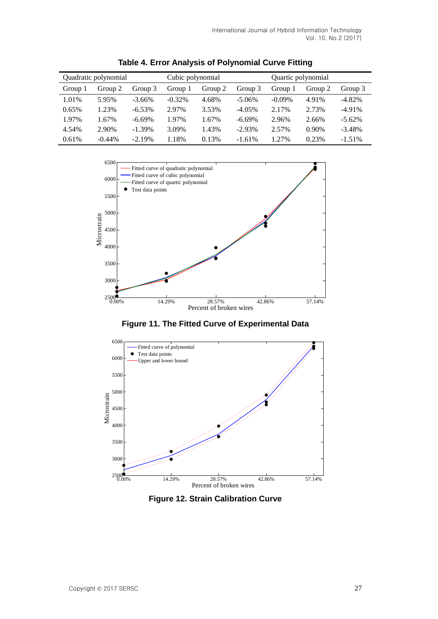| Quadratic polynomial |           |           | Cubic polynomial |         |           | Quartic polynomial |         |           |
|----------------------|-----------|-----------|------------------|---------|-----------|--------------------|---------|-----------|
| Group 1              | Group 2   | Group 3   | Group 1          | Group 2 | Group 3   | Group 1            | Group 2 | Group 3   |
| 1.01%                | 5.95%     | $-3.66%$  | $-0.32\%$        | 4.68%   | $-5.06\%$ | $-0.09\%$          | 4.91%   | $-4.82\%$ |
| 0.65%                | 1.23%     | $-6.53\%$ | 2.97%            | 3.53%   | $-4.05\%$ | 2.17%              | 2.73%   | $-4.91\%$ |
| 1.97%                | 1.67%     | $-6.69%$  | 1.97%            | 1.67%   | $-6.69%$  | 2.96%              | 2.66%   | $-5.62\%$ |
| 4.54%                | 2.90%     | $-1.39%$  | 3.09%            | 1.43%   | $-2.93\%$ | 2.57%              | 0.90%   | $-3.48%$  |
| 0.61%                | $-0.44\%$ | $-2.19%$  | 1.18%            | 0.13%   | $-1.61%$  | 1.27%              | 0.23%   | $-1.51%$  |

**Table 4. Error Analysis of Polynomial Curve Fitting**



**Figure 11. The Fitted Curve of Experimental Data**



**Figure 12. Strain Calibration Curve**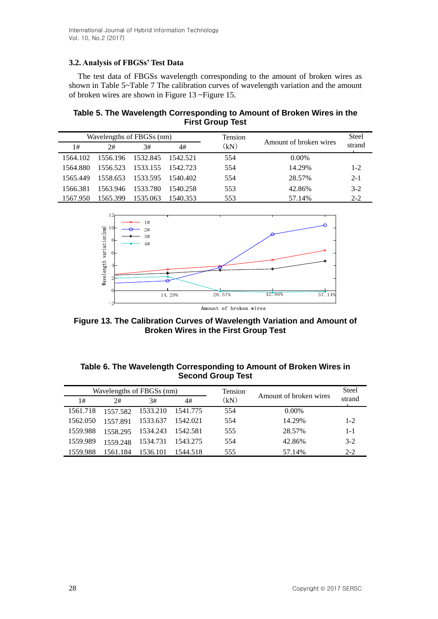### **3.2. Analysis of FBGSs' Test Data**

The test data of FBGSs wavelength corresponding to the amount of broken wires as shown in Table 5~Table 7 The calibration curves of wavelength variation and the amount of broken wires are shown in Figure 13 ~Figure 15.

**Table 5. The Wavelength Corresponding to Amount of Broken Wires in the First Group Test**

|          | Wavelengths of FBGSs (nm) |                   |            | Tension | Amount of broken wires | <b>Steel</b> |
|----------|---------------------------|-------------------|------------|---------|------------------------|--------------|
| 1#       | 2#                        | 3#                | 4#         | (kN)    |                        | strand       |
| 1564.102 | 1556.196 1532.845         |                   | 1542.521   | 554     | $0.00\%$               |              |
| 1564.880 | 1556.523                  | 1533.155          | - 1542.723 | 554     | 14.29%                 | $1 - 2$      |
| 1565.449 |                           | 1558.653 1533.595 | -1540.402  | 554     | 28.57%                 | $2 - 1$      |
| 1566.381 | 1563.946                  | 1533.780          | 1540.258   | 553     | 42.86%                 | $3-2$        |
| 1567.950 | 1565.399                  | 1535.063          | 1540.353   | 553     | 57.14%                 | $2 - 2$      |



**Figure 13. The Calibration Curves of Wavelength Variation and Amount of** 

**Broken Wires in the First Group Test**

| Table 6. The Wavelength Corresponding to Amount of Broken Wires in |
|--------------------------------------------------------------------|
| <b>Second Group Test</b>                                           |

|          | Wavelengths of FBGSs (nm) |          |          |      |                        | <b>Steel</b> |
|----------|---------------------------|----------|----------|------|------------------------|--------------|
| 1#       | 2#                        | 3#       | 4#       | (kN) | Amount of broken wires | strand       |
| 1561.718 | 1557.582                  | 1533.210 | 1541.775 | 554  | $0.00\%$               |              |
| 1562.050 | 1557.891                  | 1533.637 | 1542.021 | 554  | 14.29%                 | $1 - 2$      |
| 1559.988 | 1558.295                  | 1534.243 | 1542.581 | 555  | 28.57%                 | $1 - 1$      |
| 1559.989 | 1559.248                  | 1534.731 | 1543.275 | 554  | 42.86%                 | $3-2$        |
| 1559.988 | 1561.184                  | 1536.101 | 1544.518 | 555  | 57.14%                 | $2 - 2$      |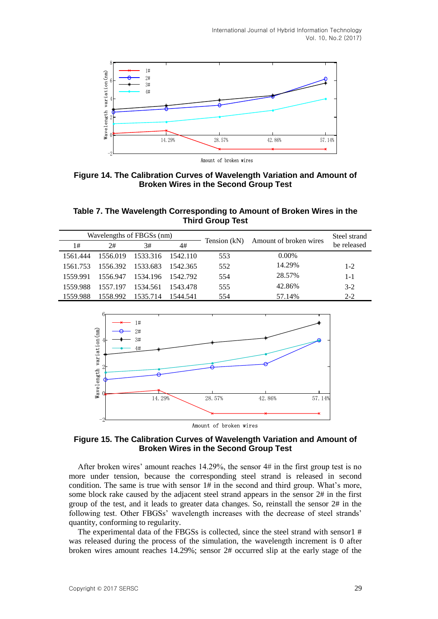

**Figure 14. The Calibration Curves of Wavelength Variation and Amount of Broken Wires in the Second Group Test**

**Table 7. The Wavelength Corresponding to Amount of Broken Wires in the Third Group Test**

| Wavelengths of FBGSs (nm) |          |          | Tension (kN) |     | Steel strand           |             |
|---------------------------|----------|----------|--------------|-----|------------------------|-------------|
| 1#                        | 2#       | 3#       | 4#           |     | Amount of broken wires | be released |
| 1561.444                  | 1556.019 | 1533.316 | 1542.110     | 553 | $0.00\%$               |             |
| 1561.753                  | 1556.392 | 1533.683 | 1542.365     | 552 | 14.29%                 | $1 - 2$     |
| 1559.991                  | 1556.947 | 1534.196 | - 1542.792   | 554 | 28.57%                 | $1 - 1$     |
| 1559.988                  | 1557.197 | 1534.561 | 1543.478     | 555 | 42.86%                 | $3-2$       |
| 1559.988                  | 1558.992 | 1535.714 | 1544.541     | 554 | 57.14%                 | $2 - 2$     |



Amount of broken wires

#### **Figure 15. The Calibration Curves of Wavelength Variation and Amount of Broken Wires in the Second Group Test**

After broken wires' amount reaches 14.29%, the sensor 4# in the first group test is no more under tension, because the corresponding steel strand is released in second condition. The same is true with sensor 1# in the second and third group. What's more, some block rake caused by the adjacent steel strand appears in the sensor 2# in the first group of the test, and it leads to greater data changes. So, reinstall the sensor 2# in the following test. Other FBGSs' wavelength increases with the decrease of steel strands' quantity, conforming to regularity.

The experimental data of the FBGSs is collected, since the steel strand with sensor 1 # was released during the process of the simulation, the wavelength increment is 0 after broken wires amount reaches 14.29%; sensor 2# occurred slip at the early stage of the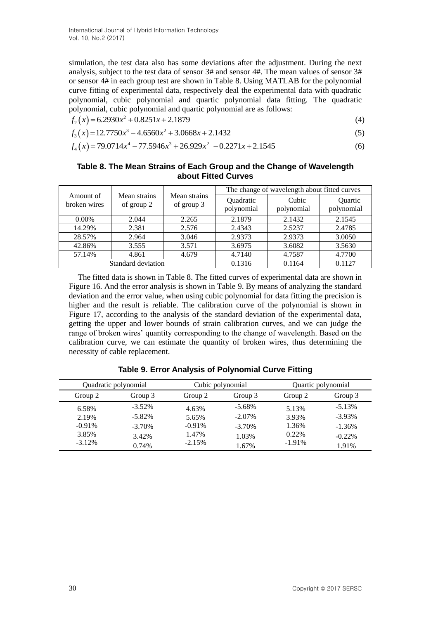simulation, the test data also has some deviations after the adjustment. During the next analysis, subject to the test data of sensor 3# and sensor 4#. The mean values of sensor 3# or sensor 4# in each group test are shown in Table 8. Using MATLAB for the polynomial curve fitting of experimental data, respectively deal the experimental data with quadratic polynomial, cubic polynomial and quartic polynomial data fitting. The quadratic

polynomial, cubic polynomial and quartic polynomial are as follows:  

$$
f_2(x) = 6.2930x^2 + 0.8251x + 2.1879
$$
 (4)

$$
f_2(x) = 6.2930x^2 + 0.8251x + 2.1879
$$
  
\n
$$
f_3(x) = 12.7750x^3 - 4.6560x^2 + 3.0668x + 2.1432
$$
  
\n
$$
f_4(x) = 79.0714x^4 - 77.5946x^3 + 26.929x^2 - 0.2271x + 2.1545
$$
  
\n(6)

$$
f_4(x) = 79.0714x^4 - 77.5946x^3 + 26.929x^2 - 0.2271x + 2.1545
$$
 (6)

#### **Table 8. The Mean Strains of Each Group and the Change of Wavelength about Fitted Curves**

|                           |                            |                            | The change of wavelength about fitted curves |                     |                       |  |
|---------------------------|----------------------------|----------------------------|----------------------------------------------|---------------------|-----------------------|--|
| Amount of<br>broken wires | Mean strains<br>of group 2 | Mean strains<br>of group 3 | Quadratic<br>polynomial                      | Cubic<br>polynomial | Quartic<br>polynomial |  |
| $0.00\%$                  | 2.044                      | 2.265                      | 2.1879                                       | 2.1432              | 2.1545                |  |
| 14.29%                    | 2.381                      | 2.576                      | 2.4343                                       | 2.5237              | 2.4785                |  |
| 28.57%                    | 2.964                      | 3.046                      | 2.9373                                       | 2.9373              | 3.0050                |  |
| 42.86%                    | 3.555                      | 3.571                      | 3.6975                                       | 3.6082              | 3.5630                |  |
| 57.14%                    | 4.861                      | 4.679                      | 4.7140                                       | 4.7587              | 4.7700                |  |
|                           | Standard deviation         |                            | 0.1316                                       | 0.1164              | 0.1127                |  |

The fitted data is shown in Table 8. The fitted curves of experimental data are shown in Figure 16. And the error analysis is shown in Table 9. By means of analyzing the standard deviation and the error value, when using cubic polynomial for data fitting the precision is higher and the result is reliable. The calibration curve of the polynomial is shown in Figure 17, according to the analysis of the standard deviation of the experimental data, getting the upper and lower bounds of strain calibration curves, and we can judge the range of broken wires' quantity corresponding to the change of wavelength. Based on the calibration curve, we can estimate the quantity of broken wires, thus determining the necessity of cable replacement.

|          | Quadratic polynomial |           | Cubic polynomial |           | Quartic polynomial |  |
|----------|----------------------|-----------|------------------|-----------|--------------------|--|
| Group 2  | Group 3              | Group 2   | Group 3          | Group 2   | Group 3            |  |
| 6.58%    | $-3.52%$             | 4.63%     | $-5.68\%$        | 5.13%     | $-5.13%$           |  |
| 2.19%    | $-5.82\%$            | 5.65%     | $-2.07\%$        | 3.93%     | $-3.93\%$          |  |
| $-0.91%$ | $-3.70%$             | $-0.91\%$ | $-3.70\%$        | 1.36%     | $-1.36\%$          |  |
| 3.85%    | 3.42%                | 1.47%     | 1.03%            | 0.22%     | $-0.22\%$          |  |
| $-3.12%$ | 0.74%                | $-2.15%$  | 1.67%            | $-1.91\%$ | 1.91%              |  |

## **Table 9. Error Analysis of Polynomial Curve Fitting**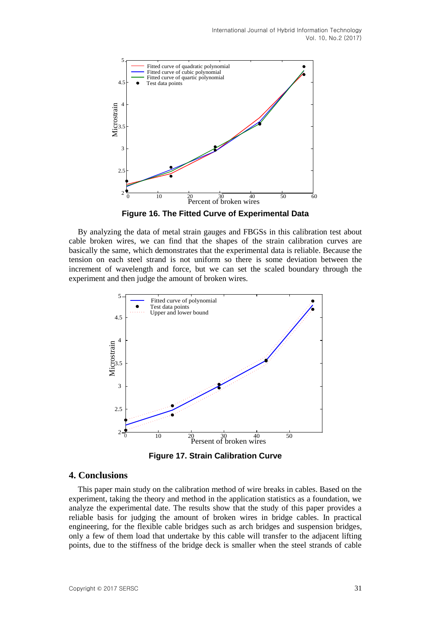

**Figure 16. The Fitted Curve of Experimental Data**

By analyzing the data of metal strain gauges and FBGSs in this calibration test about cable broken wires, we can find that the shapes of the strain calibration curves are basically the same, which demonstrates that the experimental data is reliable. Because the tension on each steel strand is not uniform so there is some deviation between the increment of wavelength and force, but we can set the scaled boundary through the experiment and then judge the amount of broken wires.



**Figure 17. Strain Calibration Curve**

#### **4. Conclusions**

This paper main study on the calibration method of wire breaks in cables. Based on the experiment, taking the theory and method in the application statistics as a foundation, we analyze the experimental date. The results show that the study of this paper provides a reliable basis for judging the amount of broken wires in bridge cables. In practical engineering, for the flexible cable bridges such as arch bridges and suspension bridges, only a few of them load that undertake by this cable will transfer to the adjacent lifting points, due to the stiffness of the bridge deck is smaller when the steel strands of cable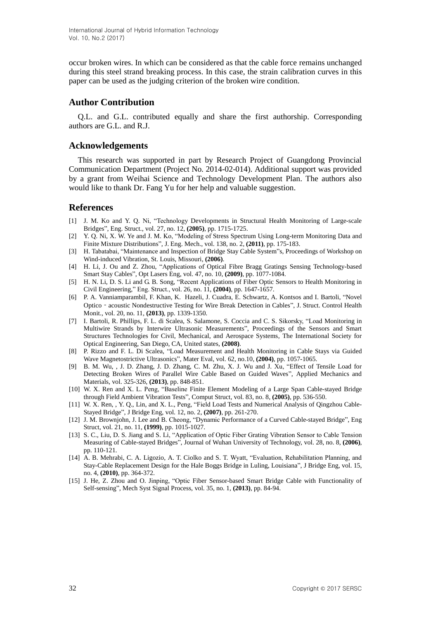occur broken wires. In which can be considered as that the cable force remains unchanged during this steel strand breaking process. In this case, the strain calibration curves in this paper can be used as the judging criterion of the broken wire condition.

### **Author Contribution**

Q.L. and G.L. contributed equally and share the first authorship. Corresponding authors are G.L. and R.J.

#### **Acknowledgements**

This research was supported in part by Research Project of Guangdong Provincial Communication Department (Project No. 2014-02-014). Additional support was provided by a grant from Weihai Science and Technology Development Plan. The authors also would like to thank Dr. Fang Yu for her help and valuable suggestion.

#### **References**

- [1] J. M. Ko and Y. Q. Ni, "Technology Developments in Structural Health Monitoring of Large-scale Bridges", Eng. Struct., vol. 27, no. 12, **(2005)**, pp. 1715-1725.
- [2] Y. Q. Ni, X. W. Ye and J. M. Ko, "Modeling of Stress Spectrum Using Long-term Monitoring Data and Finite Mixture Distributions", J. Eng. Mech., vol. 138, no. 2, **(2011)**, pp. 175-183.
- [3] H. Tabatabai, "Maintenance and Inspection of Bridge Stay Cable System"s, Proceedings of Workshop on Wind-induced Vibration, St. Louis, Missouri, **(2006)**.
- [4] H. Li, J. Ou and Z. Zhou, "Applications of Optical Fibre Bragg Gratings Sensing Technology-based Smart Stay Cables", Opt Lasers Eng, vol. 47, no. 10, **(2009)**, pp. 1077-1084.
- [5] H. N. Li, D. S. Li and G. B. Song, "Recent Applications of Fiber Optic Sensors to Health Monitoring in Civil Engineering," Eng. Struct., vol. 26, no. 11, **(2004)**, pp. 1647-1657.
- [6] P. A. Vanniamparambil, F. Khan, K. Hazeli, J. Cuadra, E. Schwartz, A. Kontsos and I. Bartoli, "Novel Optico‐acoustic Nondestructive Testing for Wire Break Detection in Cables", J. Struct. Control Health Monit., vol. 20, no. 11, **(2013)**, pp. 1339-1350.
- [7] I. Bartoli, R. Phillips, F. L. di Scalea, S. Salamone, S. Coccia and C. S. Sikorsky, "Load Monitoring in Multiwire Strands by Interwire Ultrasonic Measurements", Proceedings of the Sensors and Smart Structures Technologies for Civil, Mechanical, and Aerospace Systems, The International Society for Optical Engineering, San Diego, CA, United states, **(2008)**.
- [8] P. Rizzo and F. L. Di Scalea, "Load Measurement and Health Monitoring in Cable Stays via Guided Wave Magnetostrictive Ultrasonics", Mater Eval, vol. 62, no.10, **(2004)**, pp. 1057-1065.
- [9] B. M. Wu, , J. D. Zhang, J. D. Zhang, C. M. Zhu, X. J. Wu and J. Xu, "Effect of Tensile Load for Detecting Broken Wires of Parallel Wire Cable Based on Guided Waves", Applied Mechanics and Materials, vol. 325-326, **(2013)**, pp. 848-851.
- [10] W. X. Ren and X. L. Peng, "Baseline Finite Element Modeling of a Large Span Cable-stayed Bridge through Field Ambient Vibration Tests", Comput Struct, vol. 83, no. 8, **(2005)**, pp. 536-550.
- [11] W. X. Ren, , Y. Q., Lin, and X. L., Peng, "Field Load Tests and Numerical Analysis of Qingzhou Cable-Stayed Bridge", J Bridge Eng, vol. 12, no. 2, **(2007)**, pp. 261-270.
- [12] J. M. Brownjohn, J. Lee and B. Cheong, "Dynamic Performance of a Curved Cable-stayed Bridge", Eng Struct, vol. 21, no. 11, **(1999)**, pp. 1015-1027.
- [13] S. C., Liu, D. S. Jiang and S. Li, "Application of Optic Fiber Grating Vibration Sensor to Cable Tension Measuring of Cable-stayed Bridges", Journal of Wuhan University of Technology, vol. 28, no. 8, **(2006)**, pp. 110-121.
- [14] A. B. Mehrabi, C. A. Ligozio, A. T. Ciolko and S. T. Wyatt, "Evaluation, Rehabilitation Planning, and Stay-Cable Replacement Design for the Hale Boggs Bridge in Luling, Louisiana", J Bridge Eng, vol. 15, no. 4, **(2010)**, pp. 364-372.
- [15] J. He, Z. Zhou and O. Jinping, "Optic Fiber Sensor-based Smart Bridge Cable with Functionality of Self-sensing", Mech Syst Signal Process, vol. 35, no. 1, **(2013)**, pp. 84-94.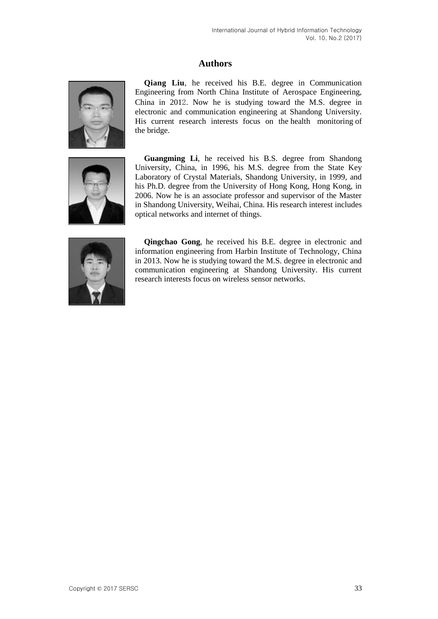# **Authors**



**Qiang Liu**, he received his B.E. degree in Communication Engineering from North China Institute of Aerospace Engineering, China in 2012. Now he is studying toward the M.S. degree in electronic and communication engineering at Shandong University. His current research interests focus on the health monitoring of the bridge.



**Guangming Li**, he received his B.S. degree from Shandong University, China, in 1996, his M.S. degree from the State Key Laboratory of Crystal Materials, Shandong University, in 1999, and his Ph.D. degree from the University of Hong Kong, Hong Kong, in 2006. Now he is an associate professor and supervisor of the Master in Shandong University, Weihai, China. His research interest includes optical networks and internet of things.



**Qingchao Gong**, he received his B.E. degree in electronic and information engineering from Harbin Institute of Technology, China in 2013. Now he is studying toward the M.S. degree in electronic and communication engineering at Shandong University. His current research interests focus on wireless sensor networks.